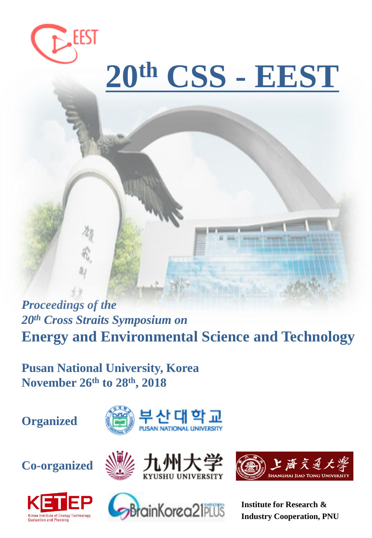

# **20th CSS - EEST**

*Proceedings of the 20th Cross Straits Symposium on*  **Energy and Environmental Science and Technology** 

**Pusan National University, Korea November 26th to 28th, 2018**

**Organized**













**Institute for Research & Industry Cooperation, PNU**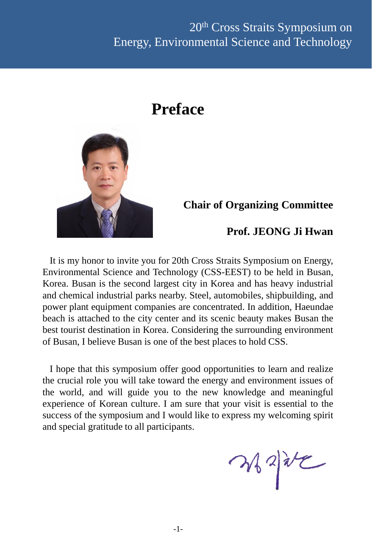## **Preface**



## **Chair of Organizing Committee**

## **Prof. JEONG Ji Hwan**

It is my honor to invite you for 20th Cross Straits Symposium on Energy, Environmental Science and Technology (CSS-EEST) to be held in Busan, Korea. Busan is the second largest city in Korea and has heavy industrial and chemical industrial parks nearby. Steel, automobiles, shipbuilding, and power plant equipment companies are concentrated. In addition, Haeundae beach is attached to the city center and its scenic beauty makes Busan the best tourist destination in Korea. Considering the surrounding environment of Busan, I believe Busan is one of the best places to hold CSS.

I hope that this symposium offer good opportunities to learn and realize the crucial role you will take toward the energy and environment issues of the world, and will guide you to the new knowledge and meaningful experience of Korean culture. I am sure that your visit is essential to the success of the symposium and I would like to express my welcoming spirit and special gratitude to all participants.

 $2422$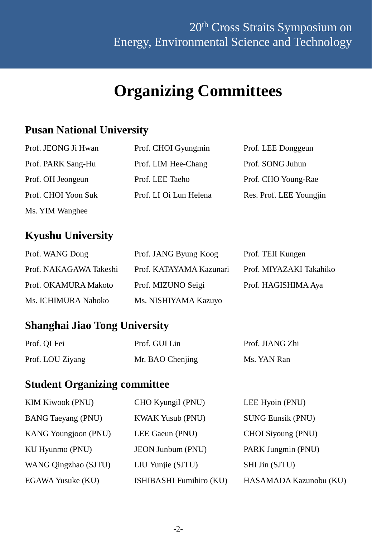## **Organizing Committees**

## **Pusan National University**

| Prof. JEONG Ji Hwan | Prof. CHOI Gyungmin    | Prof. LEE Donggeun      |
|---------------------|------------------------|-------------------------|
| Prof. PARK Sang-Hu  | Prof. LIM Hee-Chang    | Prof. SONG Juhun        |
| Prof. OH Jeongeun   | Prof. LEE Taeho        | Prof. CHO Young-Rae     |
| Prof. CHOI Yoon Suk | Prof. LI Oi Lun Helena | Res. Prof. LEE Youngjin |
| Ms. YIM Wanghee     |                        |                         |

## **Kyushu University**

| Prof. WANG Dong        | Prof. JANG Byung Koog   | Prof. TEII Kungen       |
|------------------------|-------------------------|-------------------------|
| Prof. NAKAGAWA Takeshi | Prof. KATAYAMA Kazunari | Prof. MIYAZAKI Takahiko |
| Prof. OKAMURA Makoto   | Prof. MIZUNO Seigi      | Prof. HAGISHIMA Aya     |
| Ms. ICHIMURA Nahoko    | Ms. NISHIYAMA Kazuyo    |                         |

## **Shanghai Jiao Tong University**

| Prof. QI Fei     | Prof. GUI Lin    | Prof. JIANG Zhi |
|------------------|------------------|-----------------|
| Prof. LOU Ziyang | Mr. BAO Chenjing | Ms. YAN Ran     |

## **Student Organizing committee**

| <b>KIM Kiwook (PNU)</b>     | CHO Kyungil (PNU)        | LEE Hyoin (PNU)          |
|-----------------------------|--------------------------|--------------------------|
| <b>BANG Taeyang (PNU)</b>   | <b>KWAK Yusub (PNU)</b>  | <b>SUNG Eunsik (PNU)</b> |
| <b>KANG Youngjoon (PNU)</b> | LEE Gaeun (PNU)          | CHOI Siyoung (PNU)       |
| KU Hyunmo (PNU)             | <b>JEON Junbum (PNU)</b> | PARK Jungmin (PNU)       |
| WANG Qingzhao (SJTU)        | LIU Yunjie (SJTU)        | SHI Jin (SJTU)           |
| EGAWA Yusuke (KU)           | ISHIBASHI Fumihiro (KU)  | HASAMADA Kazunobu (KU)   |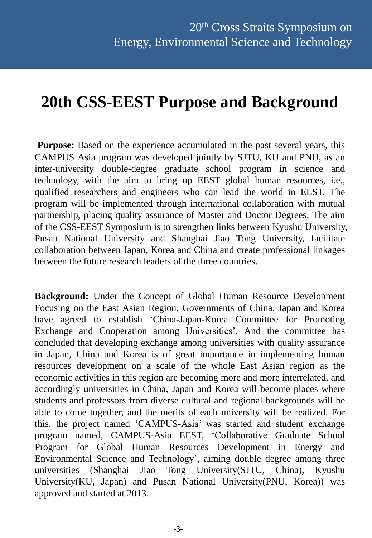## **20th CSS-EEST Purpose and Background**

**Purpose:** Based on the experience accumulated in the past several years, this CAMPUS Asia program was developed jointly by SJTU, KU and PNU, as an inter-university double-degree graduate school program in science and technology, with the aim to bring up EEST global human resources, i.e., qualified researchers and engineers who can lead the world in EEST. The program will be implemented through international collaboration with mutual partnership, placing quality assurance of Master and Doctor Degrees. The aim of the CSS-EEST Symposium is to strengthen links between Kyushu University, Pusan National University and Shanghai Jiao Tong University, facilitate collaboration between Japan, Korea and China and create professional linkages between the future research leaders of the three countries.

**Background:** Under the Concept of Global Human Resource Development Focusing on the East Asian Region, Governments of China, Japan and Korea have agreed to establish 'China-Japan-Korea Committee for Promoting Exchange and Cooperation among Universities'. And the committee has concluded that developing exchange among universities with quality assurance in Japan, China and Korea is of great importance in implementing human resources development on a scale of the whole East Asian region as the economic activities in this region are becoming more and more interrelated, and accordingly universities in China, Japan and Korea will become places where students and professors from diverse cultural and regional backgrounds will be able to come together, and the merits of each university will be realized. For this, the project named 'CAMPUS-Asia' was started and student exchange program named, CAMPUS-Asia EEST, 'Collaborative Graduate School Program for Global Human Resources Development in Energy and Environmental Science and Technology', aiming double degree among three universities (Shanghai Jiao Tong University(SJTU, China), Kyushu University(KU, Japan) and Pusan National University(PNU, Korea)) was approved and started at 2013.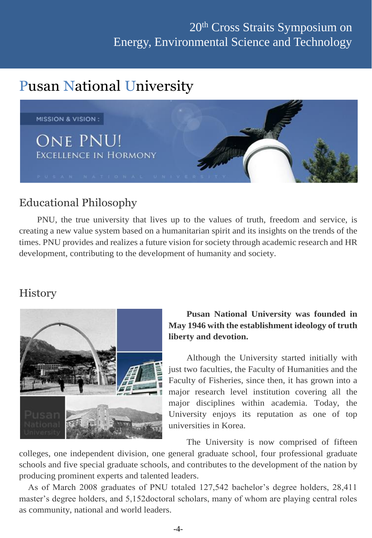## Pusan National University



## Educational Philosophy

PNU, the true university that lives up to the values of truth, freedom and service, is creating a new value system based on a humanitarian spirit and its insights on the trends of the times. PNU provides and realizes a future vision for society through academic research and HR development, contributing to the development of humanity and society.

## **History**



#### **Pusan National University was founded in May 1946 with the establishment ideology of truth, liberty and devotion.**

Although the University started initially with just two faculties, the Faculty of Humanities and the Faculty of Fisheries, since then, it has grown into a major research level institution covering all the major disciplines within academia. Today, the University enjoys its reputation as one of top universities in Korea.

The University is now comprised of fifteen

colleges, one independent division, one general graduate school, four professional graduate schools and five special graduate schools, and contributes to the development of the nation by producing prominent experts and talented leaders.

 As of March 2008 graduates of PNU totaled 127,542 bachelor's degree holders, 28,411 master's degree holders, and 5,152doctoral scholars, many of whom are playing central roles as community, national and world leaders.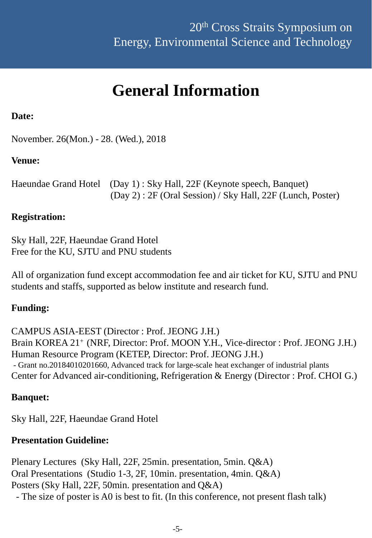## **General Information**

#### **Date:**

November. 26(Mon.) - 28. (Wed.), 2018

#### **Venue:**

Haeundae Grand Hotel (Day 1) : Sky Hall, 22F (Keynote speech, Banquet) (Day 2) : 2F (Oral Session) / Sky Hall, 22F (Lunch, Poster)

#### **Registration:**

Sky Hall, 22F, Haeundae Grand Hotel Free for the KU, SJTU and PNU students

All of organization fund except accommodation fee and air ticket for KU, SJTU and PNU students and staffs, supported as below institute and research fund.

#### **Funding:**

CAMPUS ASIA-EEST (Director : Prof. JEONG J.H.) Brain KOREA 21<sup>+</sup> (NRF, Director: Prof. MOON Y.H., Vice-director : Prof. JEONG J.H.) Human Resource Program (KETEP, Director: Prof. JEONG J.H.) - Grant no.20184010201660, Advanced track for large-scale heat exchanger of industrial plants Center for Advanced air-conditioning, Refrigeration & Energy (Director : Prof. CHOI G.)

#### **Banquet:**

Sky Hall, 22F, Haeundae Grand Hotel

#### **Presentation Guideline:**

Plenary Lectures (Sky Hall, 22F, 25min. presentation, 5min. Q&A) Oral Presentations (Studio 1-3, 2F, 10min. presentation, 4min. Q&A) Posters (Sky Hall, 22F, 50min. presentation and Q&A)

- The size of poster is A0 is best to fit. (In this conference, not present flash talk)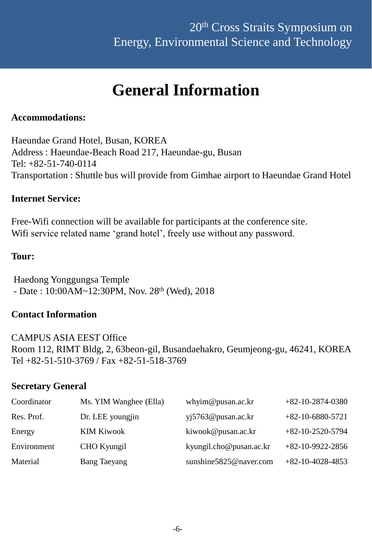## **General Information**

#### **Accommodations:**

Haeundae Grand Hotel, Busan, KOREA Address : Haeundae-Beach Road 217, Haeundae-gu, Busan Tel: +82-51-740-0114 Transportation : Shuttle bus will provide from Gimhae airport to Haeundae Grand Hotel

#### **Internet Service:**

Free-Wifi connection will be available for participants at the conference site. Wifi service related name 'grand hotel', freely use without any password.

#### **Tour:**

Haedong Yonggungsa Temple - Date : 10:00AM~12:30PM, Nov. 28th (Wed), 2018

#### **Contact Information**

CAMPUS ASIA EEST Office Room 112, RIMT Bldg, 2, 63beon-gil, Busandaehakro, Geumjeong-gu, 46241, KOREA Tel +82-51-510-3769 / Fax +82-51-518-3769

#### **Secretary General**

| Coordinator | Ms. YIM Wanghee (Ella) | whyim@pusan.ac.kr       | $+82-10-2874-0380$ |
|-------------|------------------------|-------------------------|--------------------|
| Res. Prof.  | Dr. LEE youngjin       | yi5763@pusan.ac.kr      | $+82-10-6880-5721$ |
| Energy      | <b>KIM Kiwook</b>      | kiwook@pusan.ac.kr      | $+82-10-2520-5794$ |
| Environment | CHO Kyungil            | kyungil.cho@pusan.ac.kr | $+82-10-9922-2856$ |
| Material    | <b>Bang Taeyang</b>    | sunshine5825@naver.com  | $+82-10-4028-4853$ |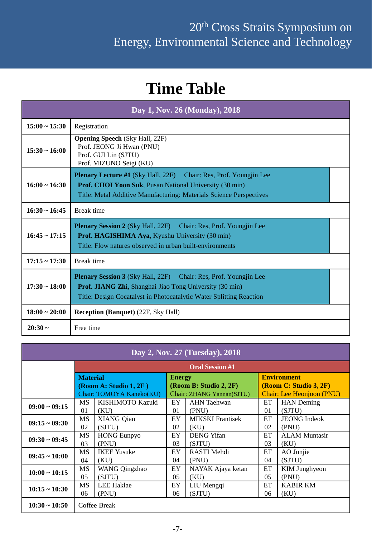## **Time Table**

| Day 1, Nov. 26 (Monday), 2018 |                                                                                                                                                                                                                   |  |  |  |
|-------------------------------|-------------------------------------------------------------------------------------------------------------------------------------------------------------------------------------------------------------------|--|--|--|
| $15:00 \sim 15:30$            | Registration                                                                                                                                                                                                      |  |  |  |
| $15:30 \sim 16:00$            | <b>Opening Speech (Sky Hall, 22F)</b><br>Prof. JEONG Ji Hwan (PNU)<br>Prof. GUI Lin (SJTU)<br>Prof. MIZUNO Seigi (KU)                                                                                             |  |  |  |
| $16:00 \sim 16:30$            | <b>Plenary Lecture #1</b> (Sky Hall, 22F) Chair: Res, Prof. Youngjin Lee<br><b>Prof. CHOI Yoon Suk, Pusan National University (30 min)</b><br>Title: Metal Additive Manufacturing: Materials Science Perspectives |  |  |  |
| $16:30 \sim 16:45$            | <b>Break time</b>                                                                                                                                                                                                 |  |  |  |
| $16:45 \sim 17:15$            | <b>Plenary Session 2</b> (Sky Hall, 22F) Chair: Res, Prof. Youngjin Lee<br>Prof. HAGISHIMA Aya, Kyushu University (30 min)<br>Title: Flow natures observed in urban built-environments                            |  |  |  |
| $17:15 \sim 17:30$            | <b>Break</b> time                                                                                                                                                                                                 |  |  |  |
| $17:30 \sim 18:00$            | <b>Plenary Session 3</b> (Sky Hall, 22F) Chair: Res, Prof. Youngjin Lee<br>Prof. JIANG Zhi, Shanghai Jiao Tong University (30 min)<br>Title: Design Cocatalyst in Photocatalytic Water Splitting Reaction         |  |  |  |
| $18:00 \sim 20:00$            | <b>Reception (Banquet) (22F, Sky Hall)</b>                                                                                                                                                                        |  |  |  |
| $20:30 -$                     | Free time                                                                                                                                                                                                         |  |  |  |

| Day 2, Nov. 27 (Tuesday), 2018     |                          |                    |                           |                         |                           |                      |
|------------------------------------|--------------------------|--------------------|---------------------------|-------------------------|---------------------------|----------------------|
|                                    | <b>Oral Session #1</b>   |                    |                           |                         |                           |                      |
|                                    | <b>Material</b>          |                    | <b>Energy</b>             |                         | <b>Environment</b>        |                      |
|                                    | (Room A: Studio 1, 2F)   |                    | (Room B: Studio 2, 2F)    |                         | (Room C: Studio 3, 2F)    |                      |
|                                    | Chair: TOMOYA Kaneko(KU) |                    | Chair: ZHANG Yannan(SJTU) |                         | Chair: Lee Heonjoon (PNU) |                      |
| $09:00 \sim 09:15$                 | <b>MS</b>                | KISHIMOTO Kazuki   | EY                        | <b>AHN</b> Taehwan      | <b>ET</b>                 | <b>HAN</b> Deming    |
|                                    | 01                       | (KU)               | 01                        | (PNU)                   | 01                        | (SJTU)               |
| $09:15 \sim 09:30$                 | <b>MS</b>                | <b>XIANG Qian</b>  | EY                        | <b>MIKSKI</b> Frantisek | ET                        | <b>JEONG</b> Indeok  |
|                                    | 02                       | (SJTU)             | 02                        | (KU)                    | 02                        | (PNU)                |
| $09:30 \sim 09:45$                 | <b>MS</b>                | <b>HONG Eunpyo</b> | EY                        | <b>DENG</b> Yifan       | ET                        | <b>ALAM Muntasir</b> |
|                                    | 03                       | (PNU)              | 03                        | (SJTU)                  | 03                        | (KU)                 |
| $09:45 \sim 10:00$                 | <b>MS</b>                | <b>IKEE Yusuke</b> | EY                        | <b>RASTI Mehdi</b>      | ET                        | AO Junjie            |
|                                    | 04                       | (KU)               | 04                        | (PNU)                   | 04                        | (SJTU)               |
| $10:00 \sim 10:15$                 | <b>MS</b>                | WANG Qingzhao      | EY                        | NAYAK Ajaya ketan       | ET                        | <b>KIM Junghyeon</b> |
|                                    | 0 <sub>5</sub>           | (SJTU)             | 0 <sub>5</sub>            | (KU)                    | 0 <sub>5</sub>            | (PNU)                |
| $10:15 - 10:30$                    | <b>MS</b>                | <b>LEE Haklae</b>  | EY                        | LIU Mengqi              | ET                        | <b>KABIR KM</b>      |
|                                    | 06                       | (PNU)              | 06                        | (SJTU)                  | 06                        | (KU)                 |
| $10:30 \sim 10:50$<br>Coffee Break |                          |                    |                           |                         |                           |                      |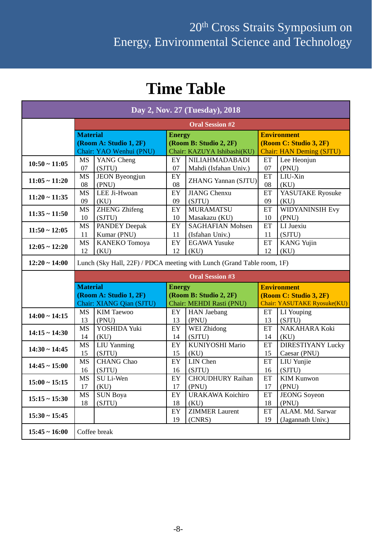## **Time Table**

| Day 2, Nov. 27 (Tuesday), 2018 |                                  |                          |               |                                                                        |                            |                                 |  |
|--------------------------------|----------------------------------|--------------------------|---------------|------------------------------------------------------------------------|----------------------------|---------------------------------|--|
|                                | <b>Oral Session #2</b>           |                          |               |                                                                        |                            |                                 |  |
|                                | <b>Material</b><br><b>Energy</b> |                          |               | <b>Environment</b>                                                     |                            |                                 |  |
|                                |                                  | (Room A: Studio 1, 2F)   |               | (Room B: Studio 2, 2F)                                                 |                            | (Room C: Studio 3, 2F)          |  |
|                                |                                  | Chair: YAO Wenhui (PNU)  |               | Chair: KAZUYA Ishibashi(KU)                                            |                            | <b>Chair: HAN Deming (SJTU)</b> |  |
| $10:50 \sim 11:05$             | <b>MS</b>                        | YANG Cheng               | EY.           | <b>NILIAHMADABADI</b>                                                  | ET                         | Lee Heonjun                     |  |
|                                | 07                               | (SJTU)                   | 07            | Mahdi (Isfahan Univ.)                                                  | 07                         | (PNU)                           |  |
| $11:05 \sim 11:20$             | <b>MS</b>                        | JEON Byeongjun           | EY            | <b>ZHANG Yannan (SJTU)</b>                                             | ET                         | LIU-Xin                         |  |
|                                | 08                               | (PNU)                    | 08            |                                                                        | 08                         | (KU)                            |  |
| $11:20 \sim 11:35$             | <b>MS</b>                        | LEE Ji-Hwoan             | EY            | <b>JIANG</b> Chenxu                                                    | $\mathop{\rm ET}\nolimits$ | YASUTAKE Ryosuke                |  |
|                                | 09                               | (KU)                     | 09            | (SJTU)                                                                 | 09                         | (KU)                            |  |
| $11:35 \sim 11:50$             | MS                               | <b>ZHENG Zhifeng</b>     | EY            | <b>MURAMATSU</b>                                                       | ET                         | <b>WIDYANINSIH Evy</b>          |  |
|                                | 10                               | (SJTU)                   | 10            | Masakazu (KU)                                                          | 10                         | (PNU)                           |  |
| $11:50 - 12:05$                | <b>MS</b>                        | <b>PANDEY Deepak</b>     | EY            | <b>SAGHAFIAN Mohsen</b>                                                | ET                         | LI Juexiu                       |  |
|                                | 11                               | Kumar (PNU)              | 11            | (Isfahan Univ.)                                                        | 11                         | (SJTU)                          |  |
| $12:05 \sim 12:20$             | <b>MS</b>                        | <b>KANEKO</b> Tomoya     | EY            | <b>EGAWA Yusuke</b>                                                    | ET                         | <b>KANG Yujin</b>               |  |
|                                | 12                               | (KU)                     | 12            | (KU)                                                                   | 12                         | (KU)                            |  |
| $12:20 \sim 14:00$             |                                  |                          |               | Lunch (Sky Hall, 22F) / PDCA meeting with Lunch (Grand Table room, 1F) |                            |                                 |  |
|                                | <b>Oral Session #3</b>           |                          |               |                                                                        |                            |                                 |  |
|                                |                                  |                          |               |                                                                        |                            |                                 |  |
|                                | <b>Material</b>                  |                          | <b>Energy</b> |                                                                        |                            | <b>Environment</b>              |  |
|                                |                                  | (Room A: Studio 1, 2F)   |               | (Room B: Studio 2, 2F)                                                 |                            | (Room C: Studio 3, 2F)          |  |
|                                |                                  | Chair: XIANG Qian (SJTU) |               | Chair: MEHDI Rasti (PNU)                                               |                            | Chair: YASUTAKE Ryosuke(KU)     |  |
|                                | <b>MS</b>                        | <b>KIM</b> Taewoo        | EY            | <b>HAN</b> Jaebang                                                     | ET                         | LI Youping                      |  |
| $14:00 \sim 14:15$             | 13                               | (PNU)                    | 13            | (PNU)                                                                  | 13                         | (SJTU)                          |  |
|                                | <b>MS</b>                        | YOSHIDA Yuki             | EY            | WEI Zhidong                                                            | ET                         | NAKAHARA Koki                   |  |
| $14:15 \sim 14:30$             | 14                               | (KU)                     | 14            | (SJTU)                                                                 | 14                         | (KU)                            |  |
|                                | <b>MS</b>                        | <b>LIU</b> Yanming       | EY            | <b>KUNIYOSHI Mario</b>                                                 | ET                         | <b>DIRESTIYANY Lucky</b>        |  |
| $14:30 - 14:45$                | 15                               | (SJTU)                   | 15            | (KU)                                                                   | 15                         | Caesar (PNU)                    |  |
|                                | <b>MS</b>                        | CHANG Chao               | EY            | LIN Chen                                                               | ET                         | <b>LIU</b> Yunjie               |  |
| $14:45 \sim 15:00$             | 16                               | (SJTU)                   | 16            | (SJTU)                                                                 | 16                         | (SJTU)                          |  |
|                                | <b>MS</b>                        | SU Li-Wen                | ${\rm EY}$    | <b>CHOUDHURY Raihan</b>                                                | ET                         | <b>KIM Kunwon</b>               |  |
| $15:00 \sim 15:15$             | 17                               | (KU)                     | 17            | (PNU)                                                                  | 17                         | (PNU)                           |  |
|                                | <b>MS</b>                        | <b>SUN Boya</b>          | EY            | <b>URAKAWA Koichiro</b>                                                | ET                         | <b>JEONG</b> Soyeon             |  |
| $15:15 \sim 15:30$             | 18                               | (SJTU)                   | 18            | (KU)                                                                   | 18                         | (PNU)                           |  |
|                                |                                  |                          | EY            | <b>ZIMMER Laurent</b>                                                  | ET                         | ALAM. Md. Sarwar                |  |
| $15:30 \sim 15:45$             |                                  |                          | 19            | (CNRS)                                                                 | 19                         | (Jagannath Univ.)               |  |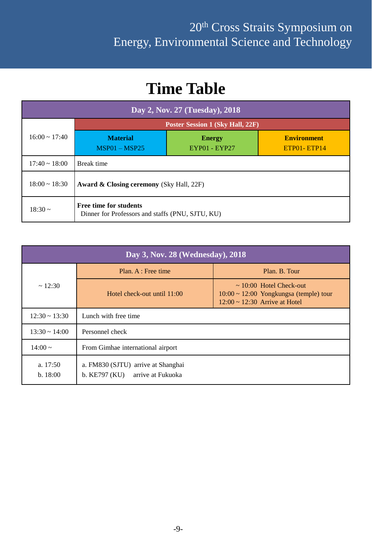## **Time Table**

| Day 2, Nov. 27 (Tuesday), 2018                                                             |                                                                                                               |  |  |  |  |  |
|--------------------------------------------------------------------------------------------|---------------------------------------------------------------------------------------------------------------|--|--|--|--|--|
|                                                                                            | <b>Poster Session 1 (Sky Hall, 22F)</b>                                                                       |  |  |  |  |  |
| $16:00 \sim 17:40$                                                                         | <b>Environment</b><br><b>Material</b><br><b>Energy</b><br>$MSP01 - MSP25$<br>EYP01 - EYP27<br>$ETP01 - ETP14$ |  |  |  |  |  |
| $17:40 \sim 18:00$                                                                         | Break time                                                                                                    |  |  |  |  |  |
| $18:00 \sim 18:30$                                                                         | Award & Closing ceremony (Sky Hall, 22F)                                                                      |  |  |  |  |  |
| Free time for students<br>$18:30 \sim$<br>Dinner for Professors and staffs (PNU, SJTU, KU) |                                                                                                               |  |  |  |  |  |

| Day 3, Nov. 28 (Wednesday), 2018 |                                                                       |                                                                                                                   |  |  |  |
|----------------------------------|-----------------------------------------------------------------------|-------------------------------------------------------------------------------------------------------------------|--|--|--|
|                                  | Plan. A : Free time                                                   | Plan. B. Tour                                                                                                     |  |  |  |
| $\sim$ 12:30                     | Hotel check-out until $11:00$                                         | $\sim$ 10:00 Hotel Check-out<br>$10:00 \sim 12:00$ Yongkungsa (temple) tour<br>$12:00 \sim 12:30$ Arrive at Hotel |  |  |  |
| $12:30 \sim 13:30$               | Lunch with free time                                                  |                                                                                                                   |  |  |  |
| $13:30 \sim 14:00$               | Personnel check                                                       |                                                                                                                   |  |  |  |
| $14:00 \sim$                     | From Gimhae international airport                                     |                                                                                                                   |  |  |  |
| a. $17:50$<br>b. 18:00           | a. FM830 (SJTU) arrive at Shanghai<br>b. KE797 (KU) arrive at Fukuoka |                                                                                                                   |  |  |  |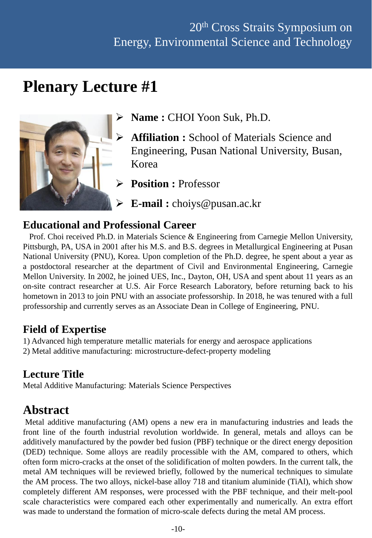## **Plenary Lecture #1**



- **Name :** CHOI Yoon Suk, Ph.D.
- **Affiliation :** School of Materials Science and Engineering, Pusan National University, Busan, Korea
	- **Position :** Professor
- **E-mail :** choiys@pusan.ac.kr

#### **Educational and Professional Career**

Prof. Choi received Ph.D. in Materials Science & Engineering from Carnegie Mellon University, Pittsburgh, PA, USA in 2001 after his M.S. and B.S. degrees in Metallurgical Engineering at Pusan National University (PNU), Korea. Upon completion of the Ph.D. degree, he spent about a year as a postdoctoral researcher at the department of Civil and Environmental Engineering, Carnegie Mellon University. In 2002, he joined UES, Inc., Dayton, OH, USA and spent about 11 years as an on-site contract researcher at U.S. Air Force Research Laboratory, before returning back to his hometown in 2013 to join PNU with an associate professorship. In 2018, he was tenured with a full professorship and currently serves as an Associate Dean in College of Engineering, PNU.

## **Field of Expertise**

1) Advanced high temperature metallic materials for energy and aerospace applications 2) Metal additive manufacturing: microstructure-defect-property modeling

## **Lecture Title**

Metal Additive Manufacturing: Materials Science Perspectives

## **Abstract**

Metal additive manufacturing (AM) opens a new era in manufacturing industries and leads the front line of the fourth industrial revolution worldwide. In general, metals and alloys can be additively manufactured by the powder bed fusion (PBF) technique or the direct energy deposition (DED) technique. Some alloys are readily processible with the AM, compared to others, which often form micro-cracks at the onset of the solidification of molten powders. In the current talk, the metal AM techniques will be reviewed briefly, followed by the numerical techniques to simulate the AM process. The two alloys, nickel-base alloy 718 and titanium aluminide (TiAl), which show completely different AM responses, were processed with the PBF technique, and their melt-pool scale characteristics were compared each other experimentally and numerically. An extra effort was made to understand the formation of micro-scale defects during the metal AM process.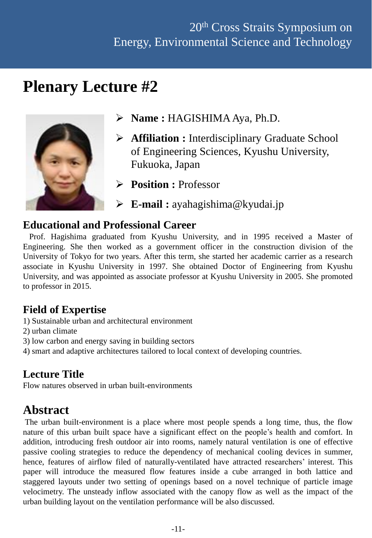## **Plenary Lecture #2**



- **Name :** HAGISHIMA Aya, Ph.D.
- **Affiliation :** Interdisciplinary Graduate School of Engineering Sciences, Kyushu University, Fukuoka, Japan
- **Position :** Professor
- **E-mail :** ayahagishima@kyudai.jp

#### **Educational and Professional Career**

Prof. Hagishima graduated from Kyushu University, and in 1995 received a Master of Engineering. She then worked as a government officer in the construction division of the University of Tokyo for two years. After this term, she started her academic carrier as a research associate in Kyushu University in 1997. She obtained Doctor of Engineering from Kyushu University, and was appointed as associate professor at Kyushu University in 2005. She promoted to professor in 2015.

## **Field of Expertise**

- 1) Sustainable urban and architectural environment
- 2) urban climate
- 3) low carbon and energy saving in building sectors
- 4) smart and adaptive architectures tailored to local context of developing countries.

## **Lecture Title**

Flow natures observed in urban built-environments

## **Abstract**

The urban built-environment is a place where most people spends a long time, thus, the flow nature of this urban built space have a significant effect on the people's health and comfort. In addition, introducing fresh outdoor air into rooms, namely natural ventilation is one of effective passive cooling strategies to reduce the dependency of mechanical cooling devices in summer, hence, features of airflow filed of naturally-ventilated have attracted researchers' interest. This paper will introduce the measured flow features inside a cube arranged in both lattice and staggered layouts under two setting of openings based on a novel technique of particle image velocimetry. The unsteady inflow associated with the canopy flow as well as the impact of the urban building layout on the ventilation performance will be also discussed.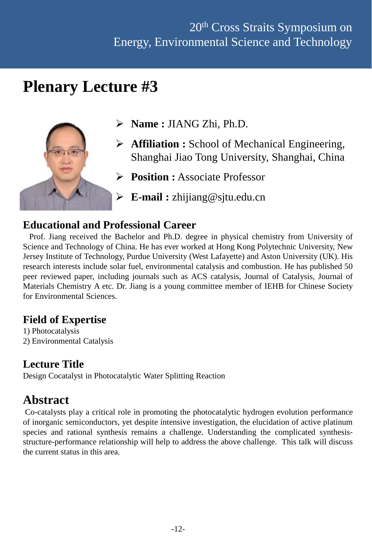## **Plenary Lecture #3**



- **Name :** JIANG Zhi, Ph.D.
- **Affiliation :** School of Mechanical Engineering, Shanghai Jiao Tong University, Shanghai, China
- **Position :** Associate Professor
- **E-mail :** zhijiang@sjtu.edu.cn

## **Educational and Professional Career**

Prof. Jiang received the Bachelor and Ph.D. degree in physical chemistry from University of Science and Technology of China. He has ever worked at Hong Kong Polytechnic University, New Jersey Institute of Technology, Purdue University (West Lafayette) and Aston University (UK). His research interests include solar fuel, environmental catalysis and combustion. He has published 50 peer reviewed paper, including journals such as ACS catalysis, Journal of Catalysis, Journal of Materials Chemistry A etc. Dr. Jiang is a young committee member of IEHB for Chinese Society for Environmental Sciences.

## **Field of Expertise**

1) Photocatalysis 2) Environmental Catalysis

## **Lecture Title**

Design Cocatalyst in Photocatalytic Water Splitting Reaction

## **Abstract**

Co-catalysts play a critical role in promoting the photocatalytic hydrogen evolution performance of inorganic semiconductors, yet despite intensive investigation, the elucidation of active platinum species and rational synthesis remains a challenge. Understanding the complicated synthesisstructure-performance relationship will help to address the above challenge. This talk will discuss the current status in this area.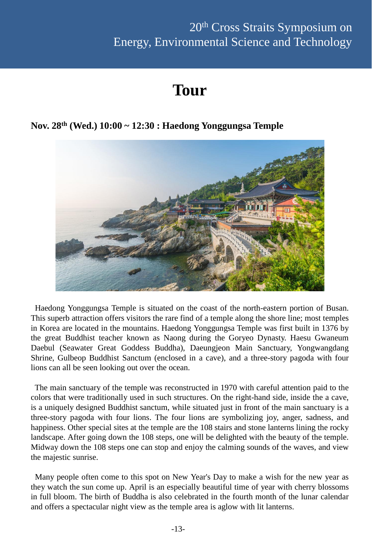## **Tour**

#### **Nov. 28th (Wed.) 10:00 ~ 12:30 : Haedong Yonggungsa Temple**



Haedong Yonggungsa Temple is situated on the coast of the north-eastern portion of Busan. This superb attraction offers visitors the rare find of a temple along the shore line; most temples in Korea are located in the mountains. Haedong Yonggungsa Temple was first built in 1376 by the great Buddhist teacher known as Naong during the Goryeo Dynasty. Haesu Gwaneum Daebul (Seawater Great Goddess Buddha), Daeungjeon Main Sanctuary, Yongwangdang Shrine, Gulbeop Buddhist Sanctum (enclosed in a cave), and a three-story pagoda with four lions can all be seen looking out over the ocean.

The main sanctuary of the temple was reconstructed in 1970 with careful attention paid to the colors that were traditionally used in such structures. On the right-hand side, inside the a cave, is a uniquely designed Buddhist sanctum, while situated just in front of the main sanctuary is a three-story pagoda with four lions. The four lions are symbolizing joy, anger, sadness, and happiness. Other special sites at the temple are the 108 stairs and stone lanterns lining the rocky landscape. After going down the 108 steps, one will be delighted with the beauty of the temple. Midway down the 108 steps one can stop and enjoy the calming sounds of the waves, and view the majestic sunrise.

Many people often come to this spot on New Year's Day to make a wish for the new year as they watch the sun come up. April is an especially beautiful time of year with cherry blossoms in full bloom. The birth of Buddha is also celebrated in the fourth month of the lunar calendar and offers a spectacular night view as the temple area is aglow with lit lanterns.